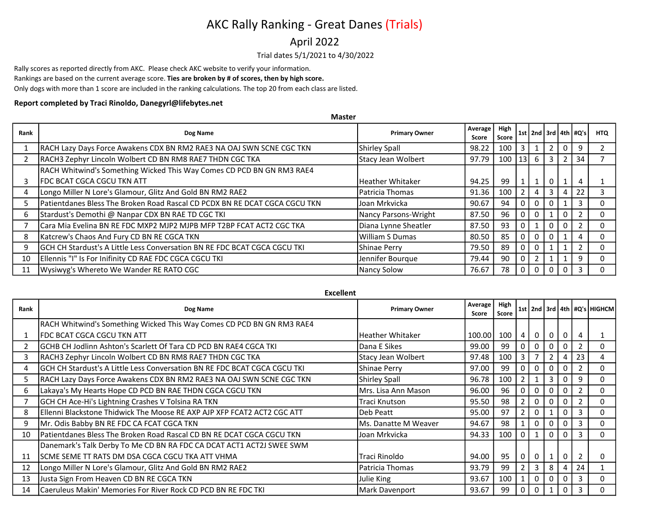### April 2022

Trial dates 5/1/2021 to 4/30/2022

Rally scores as reported directly from AKC. Please check AKC website to verify your information.

Rankings are based on the current average score. Ties are broken by # of scores, then by high score.

Only dogs with more than 1 score are included in the ranking calculations. The top 20 from each class are listed.

### Report completed by Traci Rinoldo, Danegyrl@lifebytes.net

Master

| Rank | Dog Name                                                                   | <b>Primary Owner</b>      | Average<br>Score | High<br>Score |                |                |                |              | 1st   2nd   3rd   4th   #Q's | <b>HTQ</b> |
|------|----------------------------------------------------------------------------|---------------------------|------------------|---------------|----------------|----------------|----------------|--------------|------------------------------|------------|
|      | RACH Lazy Days Force Awakens CDX BN RM2 RAE3 NA OAJ SWN SCNE CGC TKN       | <b>Shirley Spall</b>      | 98.22            | 100           | 3              |                | $\overline{2}$ |              |                              |            |
|      | RACH3 Zephyr Lincoln Wolbert CD BN RM8 RAE7 THDN CGC TKA                   | <b>Stacy Jean Wolbert</b> | 97.79            | $100$   13    |                | -6 I           | -3             | 2            | 34                           |            |
|      | RACH Whitwind's Something Wicked This Way Comes CD PCD BN GN RM3 RAE4      |                           |                  |               |                |                |                |              |                              |            |
|      | FDC BCAT CGCA CGCU TKN ATT                                                 | Heather Whitaker          | 94.25            | 99            | $\mathbf{1}$   |                | $\mathbf 0$    | $\mathbf{1}$ | 4                            |            |
|      | Longo Miller N Lore's Glamour, Glitz And Gold BN RM2 RAE2                  | Patricia Thomas           | 91.36            | 100           | 2              | 4 <sup>1</sup> | 3              | 4            | 22                           |            |
|      | Patientdanes Bless The Broken Road Rascal CD PCDX BN RE DCAT CGCA CGCU TKN | Joan Mrkvicka             | 90.67            | 94            | o I            | 0 <sup>1</sup> | $\Omega$       |              |                              |            |
| 6    | Stardust's Demothi @ Nanpar CDX BN RAE TD CGC TKI                          | Nancy Parsons-Wright      | 87.50            | 96            | $\mathbf 0$    | 0              |                | $\Omega$     |                              |            |
|      | Cara Mia Evelina BN RE FDC MXP2 MJP2 MJPB MFP T2BP FCAT ACT2 CGC TKA       | Diana Lynne Sheatler      | 87.50            | 93            | $\mathbf 0$    |                | $\Omega$       | $\Omega$     |                              |            |
| 8    | Katcrew's Chaos And Fury CD BN RE CGCA TKN                                 | William S Dumas           | 80.50            | 85            | -0 I           | 0 <sup>1</sup> | $\mathbf{0}$   |              |                              |            |
| 9    | GCH CH Stardust's A Little Less Conversation BN RE FDC BCAT CGCA CGCU TKI  | Shinae Perry              | 79.50            | 89            | $\overline{0}$ | 0 <sup>1</sup> |                |              |                              |            |
| 10   | Ellennis "I" Is For Inifinity CD RAE FDC CGCA CGCU TKI                     | Jennifer Bourque          | 79.44            | 90            | $\mathbf 0$    | 2 <sup>1</sup> |                |              | q                            |            |
| 11   | Wysiwyg's Whereto We Wander RE RATO CGC                                    | Nancy Solow               | 76.67            | 78            | - 0 I          | 0 I            | $\overline{0}$ | $\Omega$     |                              |            |

| Excellent |                                                                                  |                         |                  |               |                |             |              |             |                |                                       |  |
|-----------|----------------------------------------------------------------------------------|-------------------------|------------------|---------------|----------------|-------------|--------------|-------------|----------------|---------------------------------------|--|
| Rank      | Dog Name                                                                         | <b>Primary Owner</b>    | Average<br>Score | High<br>Score |                |             |              |             |                | 1st   2nd   3rd   4th   #Q's   HIGHCM |  |
|           | RACH Whitwind's Something Wicked This Way Comes CD PCD BN GN RM3 RAE4            |                         |                  |               |                |             |              |             |                |                                       |  |
|           | <b>FDC BCAT CGCA CGCU TKN ATT</b>                                                | <b>Heather Whitaker</b> | 100.00           | 100           | 4              | $\mathbf 0$ | 0            | $\mathbf 0$ | 4              |                                       |  |
|           | <b>GCHB CH Jodlinn Ashton's Scarlett Of Tara CD PCD BN RAE4 CGCA TKI</b>         | Dana E Sikes            | 99.00            | 99            | 0 <sup>1</sup> | 0           |              |             | $\overline{2}$ |                                       |  |
| 3         | RACH3 Zephyr Lincoln Wolbert CD BN RM8 RAE7 THDN CGC TKA                         | Stacy Jean Wolbert      | 97.48            | 100           | 3 I            | 7           |              |             | 23             |                                       |  |
| 4         | <b>GCH CH Stardust's A Little Less Conversation BN RE FDC BCAT CGCA CGCU TKI</b> | Shinae Perry            | 97.00            | 99            | 0 <sup>1</sup> | 0           |              |             | 2              |                                       |  |
| 5         | RACH Lazy Days Force Awakens CDX BN RM2 RAE3 NA OAJ SWN SCNE CGC TKN             | Shirley Spall           | 96.78            | 100           | $\mathbf{2}$   |             | 3            |             | 9              |                                       |  |
| 6         | Lakaya's My Hearts Hope CD PCD BN RAE THDN CGCA CGCU TKN                         | lMrs. Lisa Ann Mason    | 96.00            | 96            | 0 <sup>1</sup> | 0           | 0            | 0           | $\overline{2}$ |                                       |  |
|           | GCH CH Ace-Hi's Lightning Crashes V Tolsina RA TKN                               | Traci Knutson           | 95.50            | 98            | $\mathbf{2}$   | 0           | 0            | 0           | $\overline{2}$ |                                       |  |
| 8         | Ellenni Blackstone Thidwick The Moose RE AXP AJP XFP FCAT2 ACT2 CGC ATT          | Deb Peatt               | 95.00            | 97            | 2 <sup>1</sup> | 0           |              | 0           | 3              |                                       |  |
| 9         | Mr. Odis Babby BN RE FDC CA FCAT CGCA TKN                                        | Ms. Danatte M Weaver    | 94.67            | 98            |                | 0           | 0            | $\Omega$    | 3              |                                       |  |
| 10        | Patientdanes Bless The Broken Road Rascal CD BN RE DCAT CGCA CGCU TKN            | Joan Mrkvicka           | 94.33            | 100           | 0 <sup>1</sup> | 1           | $\mathbf 0$  | $\Omega$    | 3              | <sup>0</sup>                          |  |
|           | Danemark's Talk Derby To Me CD BN RA FDC CA DCAT ACT1 ACT2J SWEE SWM             |                         |                  |               |                |             |              |             |                |                                       |  |
| 11        | ISCME SEME TT RATS DM DSA CGCA CGCU TKA ATT VHMA                                 | Traci Rinoldo           | 94.00            | 95            | 0 <sup>1</sup> | $\mathbf 0$ | $\mathbf{1}$ | $\mathbf 0$ | $\overline{2}$ |                                       |  |
| 12        | Longo Miller N Lore's Glamour, Glitz And Gold BN RM2 RAE2                        | Patricia Thomas         | 93.79            | 99            | 2 I            | 3           | 8            | 4           | 24             |                                       |  |
| 13        | Justa Sign From Heaven CD BN RE CGCA TKN                                         | Julie King              | 93.67            | 100           | 1 I            | 0           | 0            |             | 3              |                                       |  |
| 14        | <b>Caeruleus Makin' Memories For River Rock CD PCD BN RE FDC TKI</b>             | Mark Davenport          | 93.67            | 99            | $\overline{0}$ | 0           |              | $\Omega$    | 3              |                                       |  |

#### Excellent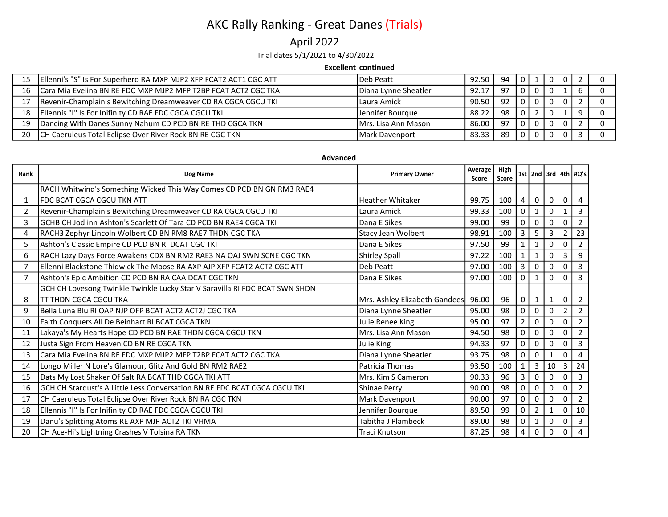## April 2022

Trial dates 5/1/2021 to 4/30/2022

### Excellent continued

|    | Ellenni's "S" Is For Superhero RA MXP MJP2 XFP FCAT2 ACT1 CGC ATT | lDeb Peatt             | 92.50 | 94 | - O I          | $\Box$ $\Box$ $\Box$ | - 0 |  |
|----|-------------------------------------------------------------------|------------------------|-------|----|----------------|----------------------|-----|--|
| 16 | Cara Mia Evelina BN RE FDC MXP MJP2 MFP T2BP FCAT ACT2 CGC TKA    | Diana Lynne Sheatler   | 92.17 | 97 | $\Omega$       |                      |     |  |
|    | Revenir-Champlain's Bewitching Dreamweaver CD RA CGCA CGCU TKI    | l Laura Amick          | 90.50 | 92 | $\overline{0}$ |                      |     |  |
| 18 | Ellennis "I" Is For Inifinity CD RAE FDC CGCA CGCU TKI            | Jennifer Bourgue       | 88.22 | 98 | $\Omega$       |                      |     |  |
| 19 | Dancing With Danes Sunny Nahum CD PCD BN RE THD CGCA TKN          | IMrs. Lisa Ann Mason   | 86.00 | 97 | $\overline{0}$ |                      |     |  |
| 20 | CH Caeruleus Total Eclipse Over River Rock BN RE CGC TKN          | <b>IMark Davenport</b> | 83.33 | 89 | $\overline{0}$ |                      |     |  |

### Advanced

| Rank         | Dog Name                                                                    | <b>Primary Owner</b>          | Average<br>Score | High<br>Score |                |   |                 |                | 1st   2nd   3rd   4th   #Q's |
|--------------|-----------------------------------------------------------------------------|-------------------------------|------------------|---------------|----------------|---|-----------------|----------------|------------------------------|
|              | RACH Whitwind's Something Wicked This Way Comes CD PCD BN GN RM3 RAE4       |                               |                  |               |                |   |                 |                |                              |
| $\mathbf{1}$ | FDC BCAT CGCA CGCU TKN ATT                                                  | <b>Heather Whitaker</b>       | 99.75            | 100           | 4              | 0 | 0               | 0              |                              |
| 2            | Revenir-Champlain's Bewitching Dreamweaver CD RA CGCA CGCU TKI              | Laura Amick                   | 99.33            | 100           | 0              |   | $\Omega$        |                | $\mathbf{B}$                 |
| 3            | GCHB CH Jodlinn Ashton's Scarlett Of Tara CD PCD BN RAE4 CGCA TKI           | Dana E Sikes                  | 99.00            | 99            | $\Omega$       | 0 | $\Omega$        | $\Omega$       |                              |
| 4            | RACH3 Zephyr Lincoln Wolbert CD BN RM8 RAE7 THDN CGC TKA                    | Stacy Jean Wolbert            | 98.91            | 100           | 3              | 5 | 3               | $\mathfrak{p}$ | 23                           |
| 5            | Ashton's Classic Empire CD PCD BN RI DCAT CGC TKI                           | Dana E Sikes                  | 97.50            | 99            |                |   | $\Omega$        | $\Omega$       |                              |
| 6            | RACH Lazy Days Force Awakens CDX BN RM2 RAE3 NA OAJ SWN SCNE CGC TKN        | Shirley Spall                 | 97.22            | 100           |                |   | $\Omega$        |                | 9                            |
| 7            | Ellenni Blackstone Thidwick The Moose RA AXP AJP XFP FCAT2 ACT2 CGC ATT     | Deb Peatt                     | 97.00            | 100           | 3              |   | $\Omega$        | $\Omega$       | $\overline{3}$               |
| 7            | Ashton's Epic Ambition CD PCD BN RA CAA DCAT CGC TKN                        | Dana E Sikes                  | 97.00            | 100           | $\Omega$       |   | $\Omega$        | $\Omega$       | $\overline{3}$               |
|              | GCH CH Lovesong Twinkle Twinkle Lucky Star V Saravilla RI FDC BCAT SWN SHDN |                               |                  |               |                |   |                 |                |                              |
| 8            | <b>TT THDN CGCA CGCU TKA</b>                                                | Mrs. Ashley Elizabeth Gandees | 96.00            | 96            | 0              |   | 1               | 0              |                              |
| 9            | Bella Luna Blu RI OAP NJP OFP BCAT ACT2 ACT2J CGC TKA                       | Diana Lynne Sheatler          | 95.00            | 98            | 0              | 0 | $\Omega$        | $\mathfrak{p}$ | $\overline{2}$               |
| 10           | Faith Conquers All De Beinhart RI BCAT CGCA TKN                             | Julie Renee King              | 95.00            | 97            | $\overline{2}$ |   |                 | <sup>0</sup>   |                              |
| 11           | Lakaya's My Hearts Hope CD PCD BN RAE THDN CGCA CGCU TKN                    | Mrs. Lisa Ann Mason           | 94.50            | 98            | 0              |   |                 | 0              |                              |
| 12           | Justa Sign From Heaven CD BN RE CGCA TKN                                    | Julie King                    | 94.33            | 97            | 0              |   |                 | $\Omega$       |                              |
| 13           | Cara Mia Evelina BN RE FDC MXP MJP2 MFP T2BP FCAT ACT2 CGC TKA              | Diana Lynne Sheatler          | 93.75            | 98            | 0              |   |                 | 0              |                              |
| 14           | Longo Miller N Lore's Glamour, Glitz And Gold BN RM2 RAE2                   | Patricia Thomas               | 93.50            | 100           |                |   | 10 <sup>1</sup> | 3              | 24                           |
| 15           | Dats My Lost Shaker Of Salt RA BCAT THD CGCA TKI ATT                        | Mrs. Kim S Cameron            | 90.33            | 96            | 3              | O |                 | $\Omega$       | 3                            |
| 16           | IGCH CH Stardust's A Little Less Conversation BN RE FDC BCAT CGCA CGCU TKI  | Shinae Perry                  | 90.00            | 98            | 0              |   |                 | 0              |                              |
| 17           | CH Caeruleus Total Eclipse Over River Rock BN RA CGC TKN                    | Mark Davenport                | 90.00            | 97            | 0              | O | 0               | $\Omega$       | 2                            |
| 18           | Ellennis "I" Is For Inifinity CD RAE FDC CGCA CGCU TKI                      | Jennifer Bourque              | 89.50            | 99            | 0              | 2 |                 | 0              | 10                           |
| 19           | Danu's Splitting Atoms RE AXP MJP ACT2 TKI VHMA                             | Tabitha J Plambeck            | 89.00            | 98            | 0              | 1 | 0               | 0              | $\overline{3}$               |
| 20           | CH Ace-Hi's Lightning Crashes V Tolsina RA TKN                              | Traci Knutson                 | 87.25            | 98            | 4              | 0 | 0               | 0              | 4                            |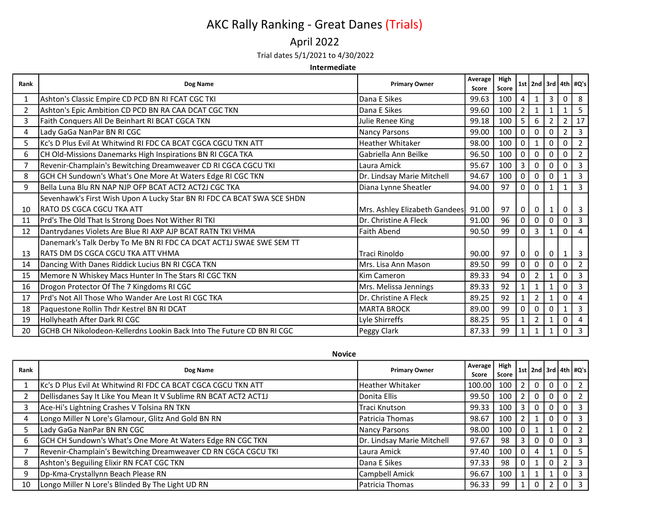### April 2022

### Trial dates 5/1/2021 to 4/30/2022

#### Intermediate

| Rank | Dog Name                                                                      | <b>Primary Owner</b>          | Average<br>Score | High<br>Score |              |                |                |                | 1st   2nd   3rd   4th   $\#Q's$ |
|------|-------------------------------------------------------------------------------|-------------------------------|------------------|---------------|--------------|----------------|----------------|----------------|---------------------------------|
|      | Ashton's Classic Empire CD PCD BN RI FCAT CGC TKI                             | Dana E Sikes                  | 99.63            | 100           | 4            |                | 3              | 0              | 8                               |
| 2    | Ashton's Epic Ambition CD PCD BN RA CAA DCAT CGC TKN                          | Dana E Sikes                  | 99.60            | 100           | 2            |                | 1              |                | 5                               |
| 3    | Faith Conquers All De Beinhart RI BCAT CGCA TKN                               | Julie Renee King              | 99.18            | 100           | 5            | 6              | $\overline{2}$ | $\overline{2}$ | 17                              |
| 4    | Lady GaGa NanPar BN RI CGC                                                    | <b>Nancy Parsons</b>          | 99.00            | 100           | 0            | 0              | 0              | $\overline{2}$ | 3                               |
| 5.   | Kc's D Plus Evil At Whitwind RI FDC CA BCAT CGCA CGCU TKN ATT                 | Heather Whitaker              | 98.00            | 100           | 0            |                | $\mathbf 0$    | 0              | $\overline{2}$                  |
| 6    | CH Old-Missions Danemarks High Inspirations BN RI CGCA TKA                    | Gabriella Ann Beilke          | 96.50            | 100           | 0            | 0              | 0              | 0              | $\overline{2}$                  |
|      | Revenir-Champlain's Bewitching Dreamweaver CD RI CGCA CGCU TKI                | Laura Amick                   | 95.67            | 100           | 3            | 0              | $\Omega$       | 0              | 3                               |
| 8    | GCH CH Sundown's What's One More At Waters Edge RI CGC TKN                    | Dr. Lindsay Marie Mitchell    | 94.67            | 100           | 0            | 0              | $\Omega$       |                | 3                               |
| 9    | lBella Luna Blu RN NAP NJP OFP BCAT ACT2 ACT2J CGC TKA                        | Diana Lynne Sheatler          | 94.00            | 97            | 0            | 0              |                |                | 3                               |
|      | Sevenhawk's First Wish Upon A Lucky Star BN RI FDC CA BCAT SWA SCE SHDN       |                               |                  |               |              |                |                |                |                                 |
| 10   | RATO DS CGCA CGCU TKA ATT                                                     | Mrs. Ashley Elizabeth Gandees | 91.00            | 97            | 0            | 0              | $\mathbf 1$    | 0              | -3                              |
| 11   | Prd's The Old That Is Strong Does Not Wither RI TKI                           | Dr. Christine A Fleck         | 91.00            | 96            | 0            | 0              | $\mathbf 0$    | 0              | $\overline{\mathbf{3}}$         |
| 12   | Dantrydanes Violets Are Blue RI AXP AJP BCAT RATN TKI VHMA                    | Faith Abend                   | 90.50            | 99            | 0            | 3              | $\mathbf{1}$   | 0              | $\Delta$                        |
|      | Danemark's Talk Derby To Me BN RI FDC CA DCAT ACT1J SWAE SWE SEM TT           |                               |                  |               |              |                |                |                |                                 |
| 13   | <b>RATS DM DS CGCA CGCU TKA ATT VHMA</b>                                      | Traci Rinoldo                 | 90.00            | 97            | $\mathbf 0$  | 0              | $\Omega$       | $\mathbf{1}$   | -3                              |
| 14   | Dancing With Danes Riddick Lucius BN RI CGCA TKN                              | Mrs. Lisa Ann Mason           | 89.50            | 99            | 0            | 0              | $\Omega$       | 0              | $\overline{2}$                  |
| 15   | Memore N Whiskey Macs Hunter In The Stars RI CGC TKN                          | lKim Cameron                  | 89.33            | 94            | 0            | 2              |                | 0              | 3                               |
| 16   | Drogon Protector Of The 7 Kingdoms RI CGC                                     | Mrs. Melissa Jennings         | 89.33            | 92            | $\mathbf{1}$ |                | $\mathbf{1}$   | 0              | 3                               |
| 17   | Prd's Not All Those Who Wander Are Lost RI CGC TKA                            | Dr. Christine A Fleck         | 89.25            | 92            |              | 2              | 1              | 0              |                                 |
| 18   | Paquestone Rollin Thdr Kestrel BN RI DCAT                                     | <b>MARTA BROCK</b>            | 89.00            | 99            | 0            | 0              | $\mathbf 0$    | 1              | $\overline{3}$                  |
| 19   | Hollyheath After Dark RI CGC                                                  | Lyle Shirreffs                | 88.25            | 95            |              | $\overline{2}$ | $\mathbf{1}$   | 0              | $\overline{4}$                  |
| 20   | <b>IGCHB CH Nikolodeon-Kellerdns Lookin Back Into The Future CD BN RI CGC</b> | Peggy Clark                   | 87.33            | 99            |              |                | 1              | 0              | 3                               |

Rank Primary Owner Primary Owner Primary Owner Primary Owner Primary Owner Primary Owner Primary Owner P<br>Average Primary Owner Primary Owner Primary Owner Primary Owner Primary Owner Primary Owner Primary Ow Score High Score  $\vert$  1st  $\vert$  2nd  $\vert$  3rd  $\vert$  4th  $\vert$  #Q's  $\vert$ 1 Kc's D Plus Evil At Whitwind RI FDC CA BCAT CGCA CGCU TKN ATT Heather Whitaker 100.00 100 2 0 0 0 2 2 Dellisdanes Say It Like You Mean It V Sublime RN BCAT ACT2 ACT1J Donita Ellis 99.50 | 09.50 | 100 | 2 | 0 | 0 | 2 3 Ace-Hi's Lightning Crashes V Tolsina RN TKN Traci Knutson | 99.33 | 100 | 3 | 0 | 0 | 0 | 3 4 Longo Miller N Lore's Glamour, Glitz And Gold BN RN Patricia Thomas 98.67 | 100 | 2 | 1 | 0 | 0 | 3 5 Lady GaGa NanPar BN RN CGC Nancy Parsons 98.00 100 0 1 1 0 2 6 GCH CH Sundown's What's One More At Waters Edge RN CGC TKN <br>Dr. Lindsay Marie Mitchell 97.67 98 3 0 0 0 3 7 Revenir-Champlain's Bewitching Dreamweaver CD RN CGCA CGCU TKI Laura Amick 97.40 100 0 4 1 0 5 8 Ashton's Beguiling Elixir RN FCAT CGC TKN **Dana E** Sikes 97.33 98 0 1 0 2 3 9 Dp-Kma-Crystallynn Beach Please RN Campbell Amick 96.67 | 100 | 1 | 1 | 0 | 3 10 | Longo Miller N Lore's Blinded By The Light UD RN | Patricia Thomas | 96.33 | 99 | 1 | 0 | 2 | 0 | 3

Novice